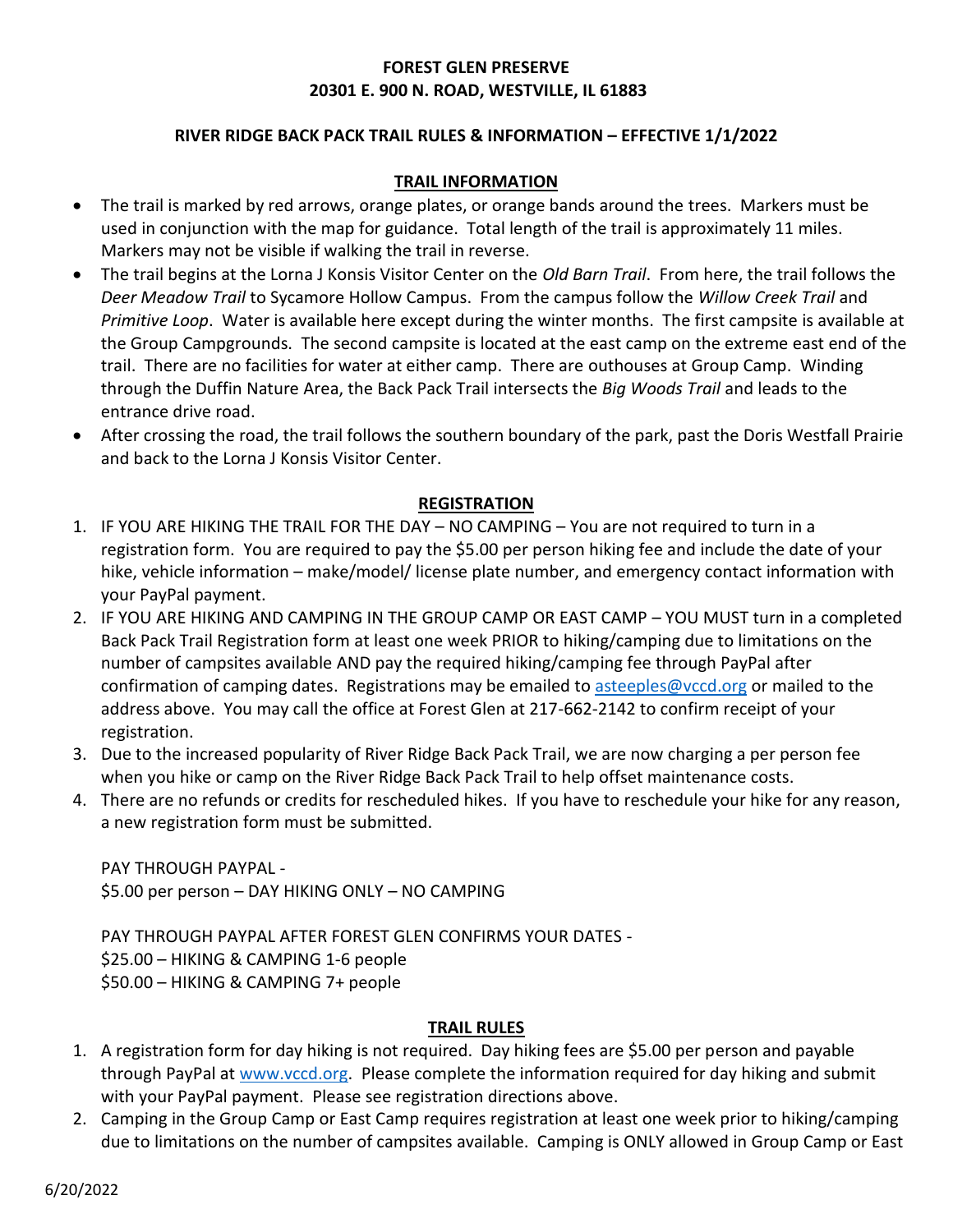# **FOREST GLEN PRESERVE 20301 E. 900 N. ROAD, WESTVILLE, IL 61883**

### **RIVER RIDGE BACK PACK TRAIL RULES & INFORMATION – EFFECTIVE 1/1/2022**

#### **TRAIL INFORMATION**

- The trail is marked by red arrows, orange plates, or orange bands around the trees. Markers must be used in conjunction with the map for guidance. Total length of the trail is approximately 11 miles. Markers may not be visible if walking the trail in reverse.
- The trail begins at the Lorna J Konsis Visitor Center on the *Old Barn Trail*. From here, the trail follows the *Deer Meadow Trail* to Sycamore Hollow Campus. From the campus follow the *Willow Creek Trail* and *Primitive Loop*. Water is available here except during the winter months. The first campsite is available at the Group Campgrounds. The second campsite is located at the east camp on the extreme east end of the trail. There are no facilities for water at either camp. There are outhouses at Group Camp. Winding through the Duffin Nature Area, the Back Pack Trail intersects the *Big Woods Trail* and leads to the entrance drive road.
- After crossing the road, the trail follows the southern boundary of the park, past the Doris Westfall Prairie and back to the Lorna J Konsis Visitor Center.

#### **REGISTRATION**

- 1. IF YOU ARE HIKING THE TRAIL FOR THE DAY NO CAMPING You are not required to turn in a registration form. You are required to pay the \$5.00 per person hiking fee and include the date of your hike, vehicle information – make/model/ license plate number, and emergency contact information with your PayPal payment.
- 2. IF YOU ARE HIKING AND CAMPING IN THE GROUP CAMP OR EAST CAMP YOU MUST turn in a completed Back Pack Trail Registration form at least one week PRIOR to hiking/camping due to limitations on the number of campsites available AND pay the required hiking/camping fee through PayPal after confirmation of camping dates. Registrations may be emailed to [asteeples@vccd.org](mailto:asteeples@vccd.org) or mailed to the address above. You may call the office at Forest Glen at 217-662-2142 to confirm receipt of your registration.
- 3. Due to the increased popularity of River Ridge Back Pack Trail, we are now charging a per person fee when you hike or camp on the River Ridge Back Pack Trail to help offset maintenance costs.
- 4. There are no refunds or credits for rescheduled hikes. If you have to reschedule your hike for any reason, a new registration form must be submitted.

PAY THROUGH PAYPAL - \$5.00 per person – DAY HIKING ONLY – NO CAMPING

PAY THROUGH PAYPAL AFTER FOREST GLEN CONFIRMS YOUR DATES - \$25.00 – HIKING & CAMPING 1-6 people \$50.00 – HIKING & CAMPING 7+ people

#### **TRAIL RULES**

- 1. A registration form for day hiking is not required. Day hiking fees are \$5.00 per person and payable through PayPal at [www.vccd.org.](http://www.vccd.org/) Please complete the information required for day hiking and submit with your PayPal payment. Please see registration directions above.
- 2. Camping in the Group Camp or East Camp requires registration at least one week prior to hiking/camping due to limitations on the number of campsites available. Camping is ONLY allowed in Group Camp or East